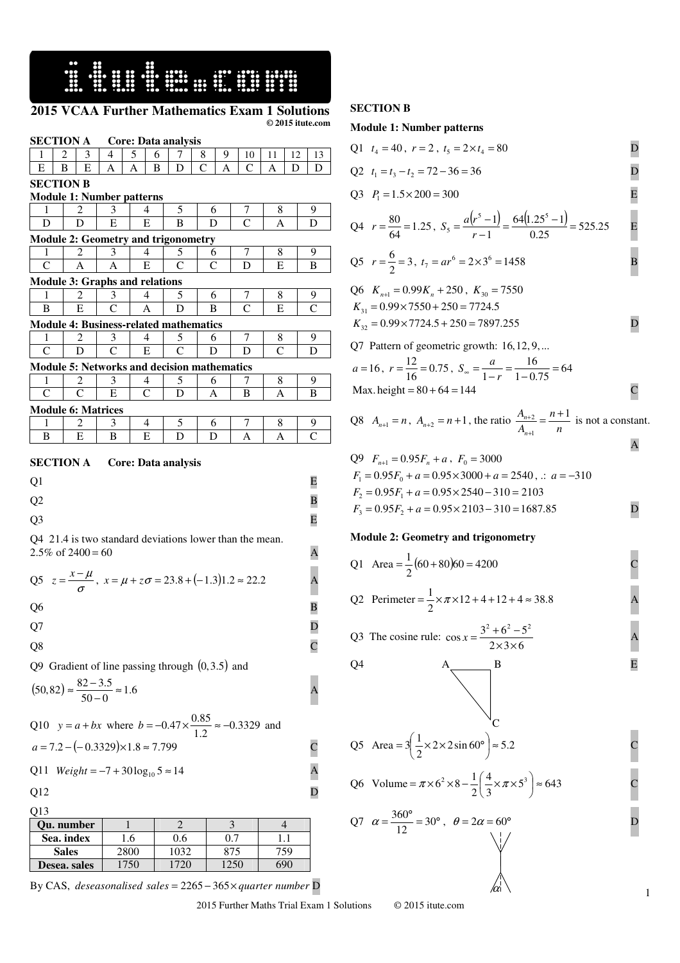**HERE HERE WEIGHT** 

# **2015 VCAA Further Mathematics Exam 1 Solutions © 2015 itute.com**

| <b>SECTION A</b>                                                                                                                                                                                                                                                                                                                                                                         |                |        |   |        | Core: Data analysis |        |   |                    |                                                        |    |                                |
|------------------------------------------------------------------------------------------------------------------------------------------------------------------------------------------------------------------------------------------------------------------------------------------------------------------------------------------------------------------------------------------|----------------|--------|---|--------|---------------------|--------|---|--------------------|--------------------------------------------------------|----|--------------------------------|
| 1                                                                                                                                                                                                                                                                                                                                                                                        | 2<br>3         | 4      | 5 | 6      | 7                   | 8      | 9 | 10                 | 11                                                     | 12 | 13                             |
| Е                                                                                                                                                                                                                                                                                                                                                                                        | В<br>Е         | А      | Α | в      | D                   | C      | A | C                  | Α                                                      | D  | D                              |
| <b>SECTION B</b><br><b>Module 1: Number patterns</b>                                                                                                                                                                                                                                                                                                                                     |                |        |   |        |                     |        |   |                    |                                                        |    |                                |
|                                                                                                                                                                                                                                                                                                                                                                                          | 2              |        |   |        |                     |        |   |                    |                                                        |    |                                |
| 1<br>D                                                                                                                                                                                                                                                                                                                                                                                   | D              | 3<br>Е |   | 4<br>Е | 5<br>В              | 6<br>D |   | 7<br>C             | 8<br>Α                                                 |    | 9<br>D                         |
| <b>Module 2: Geometry and trigonometry</b>                                                                                                                                                                                                                                                                                                                                               |                |        |   |        |                     |        |   |                    |                                                        |    |                                |
| 1                                                                                                                                                                                                                                                                                                                                                                                        | $\overline{c}$ | 3      |   | 4      | 5                   | 6      |   | 7                  | 8                                                      |    | 9                              |
| $\mathsf{C}$                                                                                                                                                                                                                                                                                                                                                                             | А              | А      |   | Е      | C                   | C      |   | D                  | Е                                                      |    | В                              |
| <b>Module 3: Graphs and relations</b>                                                                                                                                                                                                                                                                                                                                                    |                |        |   |        |                     |        |   |                    |                                                        |    |                                |
| 1                                                                                                                                                                                                                                                                                                                                                                                        | 2              | 3      |   | 4      | 5                   | 6      |   | Ί                  | 8                                                      |    | 9                              |
| В                                                                                                                                                                                                                                                                                                                                                                                        | Е              | C      |   | А      | D                   | B      |   | $\mathcal{C}$      | E                                                      |    | $\overline{C}$                 |
| <b>Module 4: Business-related mathematics</b>                                                                                                                                                                                                                                                                                                                                            |                |        |   |        |                     |        |   |                    |                                                        |    |                                |
| 1                                                                                                                                                                                                                                                                                                                                                                                        | 2              | 3      |   | 4      | 5                   | 6      |   | 7                  | 8                                                      |    | 9                              |
| C                                                                                                                                                                                                                                                                                                                                                                                        | D              | C      |   | Е      | C                   | D      |   | D                  | C                                                      |    | D                              |
| <b>Module 5: Networks and decision mathematics</b>                                                                                                                                                                                                                                                                                                                                       |                |        |   |        |                     |        |   |                    |                                                        |    |                                |
| 1                                                                                                                                                                                                                                                                                                                                                                                        | 2              | 3      |   | 4      | 5                   | 6      |   | Τ                  | 8                                                      |    | 9                              |
| C                                                                                                                                                                                                                                                                                                                                                                                        | C              | Е      |   | C      | D                   | Α      |   | В                  | Α                                                      |    | В                              |
| <b>Module 6: Matrices</b><br>1                                                                                                                                                                                                                                                                                                                                                           | 2              |        |   |        |                     |        |   |                    |                                                        |    |                                |
| В                                                                                                                                                                                                                                                                                                                                                                                        | Е              | 3<br>В |   | 4<br>Е | 5<br>D              | 6<br>D |   | $\mathcal{L}$<br>А | 8<br>А                                                 |    | <u>9</u><br>$\overline{\rm c}$ |
| <b>SECTION A</b><br><b>Core: Data analysis</b><br>Q1<br>Q2<br>Q <sub>3</sub><br>Q4 21.4 is two standard deviations lower than the mean.<br>2.5% of $2400 = 60$<br>Q5 $z = \frac{x - \mu}{\sigma}$ , $x = \mu + z\sigma = 23.8 + (-1.3)1.2 \approx 22.2$<br>Q6<br>Q7<br>Q8<br>Q9 Gradient of line passing through $(0,3.5)$ and<br>$(50, 82) \approx \frac{82 - 3.5}{50 - 0} \approx 1.6$ |                |        |   |        |                     |        |   |                    | E<br>В<br>Е<br>A<br>Α<br>В<br>D<br>$\overline{C}$<br>L |    |                                |
| Q10 $y = a + bx$ where $b = -0.47 \times \frac{0.85}{1.2} \approx -0.3329$ and<br>$a = 7.2 - (-0.3329) \times 1.8 \approx 7.799$<br>$Weight = -7 + 30 \log_{10} 5 \approx 14$<br>Q11<br>Q12<br>Q13                                                                                                                                                                                       |                |        |   |        |                     |        |   |                    | $\mathbf{A}$<br>$\overline{\mathbf{D}}$                |    |                                |

| <b>Ou.</b> number |      |      |     |     |
|-------------------|------|------|-----|-----|
| Sea. index        |      | ).6  | ∩ ≘ |     |
| <b>Sales</b>      | 2800 | 1032 | 875 | 159 |
| Desea. sales      |      |      |     |     |

By CAS, *deseasonalised sales* = 2265 − 365× *quarter number* D

2015 Further Maths Trial Exam 1 Solutions © 2015 itute.com

### **SECTION B**

#### **Module 1: Number patterns**

| Q1 $t_4 = 40$ , $r = 2$ , $t_5 = 2 \times t_4 = 80$                     |  |
|-------------------------------------------------------------------------|--|
| Q2 $t_1 = t_3 - t_2 = 72 - 36 = 36$                                     |  |
| Q3 $P_1 = 1.5 \times 200 = 300$                                         |  |
| $Q_1 = \frac{80}{25} = 1.25$ $S = a(r^5 - 1) - 64(1.25^5 - 1) - 525.25$ |  |

$$
Q4 \t r = \frac{60}{64} = 1.25, S_5 = \frac{4(1-1)}{r-1} = \frac{6(1+25)-1}{0.25} = 525.25
$$
 E

Q5 
$$
r = \frac{6}{2} = 3
$$
,  $t_7 = ar^6 = 2 \times 3^6 = 1458$ 

Q6 
$$
K_{n+1} = 0.99K_n + 250
$$
,  $K_{30} = 7550$   
\n $K_{31} = 0.99 \times 7550 + 250 = 7724.5$   
\n $K_{32} = 0.99 \times 7724.5 + 250 = 7897.255$ 

Q7 Pattern of geometric growth:  $16, 12, 9, \ldots$  $12$ 

$$
a = 16
$$
,  $r = \frac{12}{16} = 0.75$ ,  $S_{\infty} = \frac{a}{1 - r} = \frac{16}{1 - 0.75} = 64$   
Max. height = 80 + 64 = 144

Q8  $A_{n+1} = n$ ,  $A_{n+2} = n+1$ , the ratio  $\frac{A_{n+2}}{A_{n+1}} = \frac{n+1}{n}$ *n A A n*  $n+2$   $n+1$ 1  $\frac{2}{2} = \frac{n+1}{2}$ +  $\frac{+2}{-2} = \frac{n+1}{n}$  is not a constant. A

$$
Q9 \tF_{n+1} = 0.95F_n + a, F_0 = 3000
$$
  
\n
$$
F_1 = 0.95F_0 + a = 0.95 \times 3000 + a = 2540, \therefore a = -310
$$
  
\n
$$
F_2 = 0.95F_1 + a = 0.95 \times 2540 - 310 = 2103
$$
  
\n
$$
F_3 = 0.95F_2 + a = 0.95 \times 2103 - 310 = 1687.85
$$

## **Module 2: Geometry and trigonometry**

| Q1 Area = $\frac{1}{2}$ (60 + 80)60 = 4200                                  |  |
|-----------------------------------------------------------------------------|--|
| Q2 Perimeter = $\frac{1}{2} \times \pi \times 12 + 4 + 12 + 4 \approx 38.8$ |  |

Q3 The cosine rule: 
$$
\cos x = \frac{3^2 + 6^2 - 5^2}{2 \times 3 \times 6}
$$
 A

$$
\Omega
$$

$$
Q4 \qquad A \qquad B \qquad E
$$

Q5 Area = 
$$
3\left(\frac{1}{2} \times 2 \times 2 \sin 60^{\circ}\right) \approx 5.2
$$
 C

Q6 Volume = 
$$
\pi \times 6^2 \times 8 - \frac{1}{2} \left( \frac{4}{3} \times \pi \times 5^3 \right) \approx 643
$$
 C

$$
Q7 \quad \alpha = \frac{360^{\circ}}{12} = 30^{\circ} , \quad \theta = 2\alpha = 60^{\circ}
$$

 $\alpha$